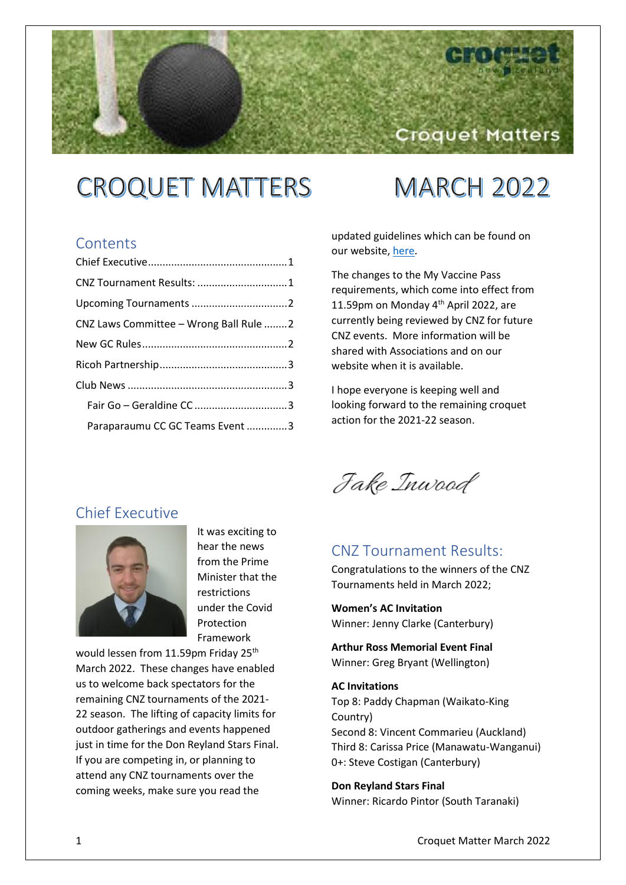# **CROQUET MATTERS**

# **MARCH 2022**

Croquet Matters

## **Contents**

| CNZ Tournament Results: 1              |  |
|----------------------------------------|--|
|                                        |  |
| CNZ Laws Committee - Wrong Ball Rule 2 |  |
|                                        |  |
|                                        |  |
|                                        |  |
|                                        |  |
| Paraparaumu CC GC Teams Event 3        |  |

updated guidelines which can be found on our website[, here.](https://croquet.org.nz/cnz-tournaments-at-red-update/)

The changes to the My Vaccine Pass requirements, which come into effect from 11.59pm on Monday 4<sup>th</sup> April 2022, are currently being reviewed by CNZ for future CNZ events. More information will be shared with Associations and on our website when it is available.

I hope everyone is keeping well and looking forward to the remaining croquet action for the 2021-22 season.

Fake Inwood

## <span id="page-0-1"></span>CNZ Tournament Results:

Congratulations to the winners of the CNZ Tournaments held in March 2022;

**Women's AC Invitation** Winner: Jenny Clarke (Canterbury)

**Arthur Ross Memorial Event Final** Winner: Greg Bryant (Wellington)

**AC Invitations** Top 8: Paddy Chapman (Waikato-King Country) Second 8: Vincent Commarieu (Auckland) Third 8: Carissa Price (Manawatu-Wanganui) 0+: Steve Costigan (Canterbury)

**Don Reyland Stars Final** Winner: Ricardo Pintor (South Taranaki)

## <span id="page-0-0"></span>Chief Executive



It was exciting to hear the news from the Prime Minister that the restrictions under the Covid Protection Framework

would lessen from 11.59pm Friday 25<sup>th</sup> March 2022. These changes have enabled us to welcome back spectators for the remaining CNZ tournaments of the 2021- 22 season. The lifting of capacity limits for outdoor gatherings and events happened just in time for the Don Reyland Stars Final. If you are competing in, or planning to attend any CNZ tournaments over the coming weeks, make sure you read the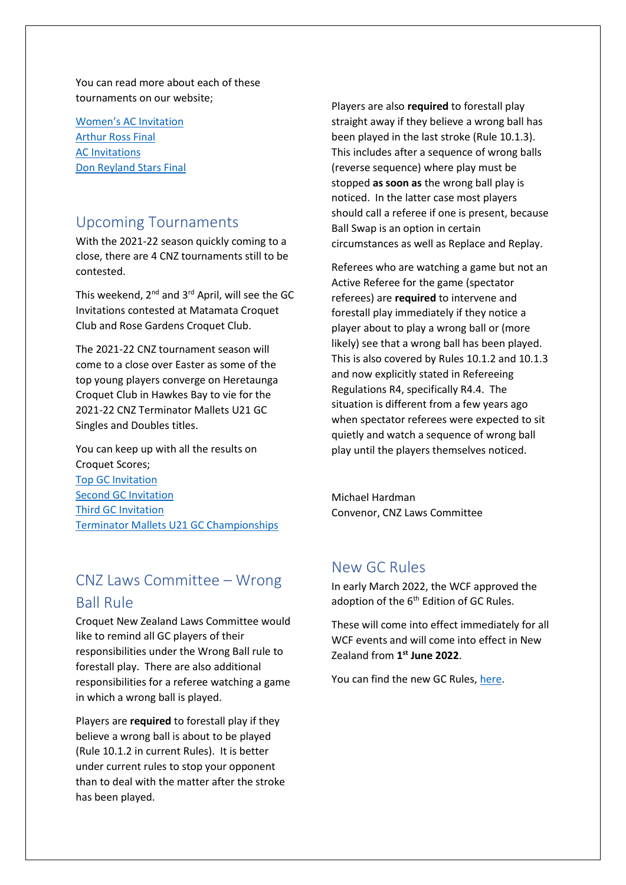You can read more about each of these tournaments on our website;

[Women's AC](https://croquet.org.nz/clarke-claims-womens-ac-invitation-title/) Invitation [Arthur Ross](https://croquet.org.nz/bryant-secures-first-arthur-ross-memorial-event-finals-title/) Final [AC Invitations](https://croquet.org.nz/ac-invitation-wrap-up/) [Don Reyland Stars Final](https://croquet.org.nz/ricardo-pinto-wins-don-reyland-stars/)

## <span id="page-1-0"></span>Upcoming Tournaments

With the 2021-22 season quickly coming to a close, there are 4 CNZ tournaments still to be contested.

This weekend, 2<sup>nd</sup> and 3<sup>rd</sup> April, will see the GC Invitations contested at Matamata Croquet Club and Rose Gardens Croquet Club.

The 2021-22 CNZ tournament season will come to a close over Easter as some of the top young players converge on Heretaunga Croquet Club in Hawkes Bay to vie for the 2021-22 CNZ Terminator Mallets U21 GC Singles and Doubles titles.

You can keep up with all the results on Croquet Scores; [Top GC Invitation](https://croquetscores.com/2022/gc/cnz-top-6-invitation-2) [Second GC Invitation](https://croquetscores.com/2022/gc/cnz-2nd-top-6-invitation-1) [Third GC Invitation](https://croquetscores.com/2022/gc/cnz-third-10-invitation) [Terminator Mallets U21 GC Championships](https://croquetscores.com/2022/gc/cnz-terminator-mallets-u21-championship)

## <span id="page-1-1"></span>CNZ Laws Committee – Wrong Ball Rule

Croquet New Zealand Laws Committee would like to remind all GC players of their responsibilities under the Wrong Ball rule to forestall play. There are also additional responsibilities for a referee watching a game in which a wrong ball is played.

Players are **required** to forestall play if they believe a wrong ball is about to be played (Rule 10.1.2 in current Rules). It is better under current rules to stop your opponent than to deal with the matter after the stroke has been played.

Players are also **required** to forestall play straight away if they believe a wrong ball has been played in the last stroke (Rule 10.1.3). This includes after a sequence of wrong balls (reverse sequence) where play must be stopped **as soon as** the wrong ball play is noticed. In the latter case most players should call a referee if one is present, because Ball Swap is an option in certain circumstances as well as Replace and Replay.

Referees who are watching a game but not an Active Referee for the game (spectator referees) are **required** to intervene and forestall play immediately if they notice a player about to play a wrong ball or (more likely) see that a wrong ball has been played. This is also covered by Rules 10.1.2 and 10.1.3 and now explicitly stated in Refereeing Regulations R4, specifically R4.4. The situation is different from a few years ago when spectator referees were expected to sit quietly and watch a sequence of wrong ball play until the players themselves noticed.

Michael Hardman Convenor, CNZ Laws Committee

## <span id="page-1-2"></span>New GC Rules

In early March 2022, the WCF approved the adoption of the 6<sup>th</sup> Edition of GC Rules.

These will come into effect immediately for all WCF events and will come into effect in New Zealand from **1 st June 2022**.

You can find the new GC Rules[, here.](https://worldcroquet.org/wp-content/uploads/2022/03/WCF-GC-Rules-6th-Edition-Final-7.3.22.pdf)